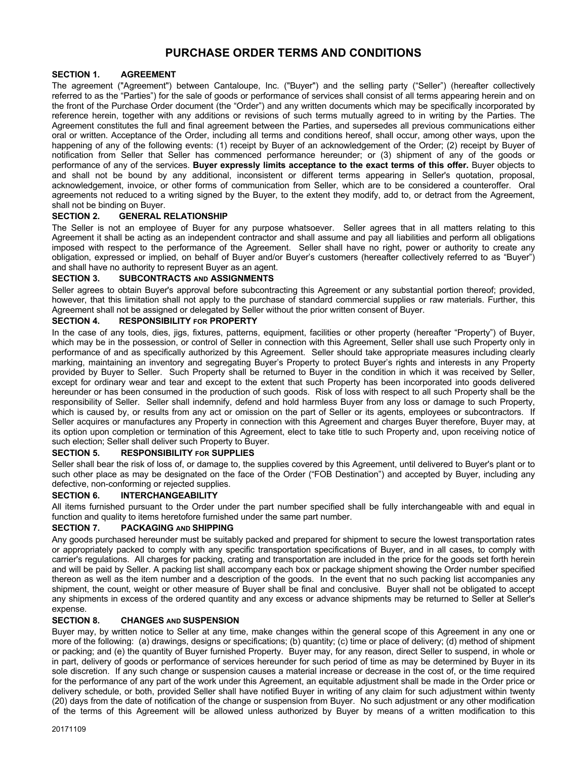# **PURCHASE ORDER TERMS AND CONDITIONS**

### **SECTION 1. AGREEMENT**

The agreement ("Agreement") between Cantaloupe, Inc. ("Buyer") and the selling party ("Seller") (hereafter collectively referred to as the "Parties") for the sale of goods or performance of services shall consist of all terms appearing herein and on the front of the Purchase Order document (the "Order") and any written documents which may be specifically incorporated by reference herein, together with any additions or revisions of such terms mutually agreed to in writing by the Parties. The Agreement constitutes the full and final agreement between the Parties, and supersedes all previous communications either oral or written. Acceptance of the Order, including all terms and conditions hereof, shall occur, among other ways, upon the happening of any of the following events: (1) receipt by Buyer of an acknowledgement of the Order; (2) receipt by Buyer of notification from Seller that Seller has commenced performance hereunder; or (3) shipment of any of the goods or performance of any of the services. **Buyer expressly limits acceptance to the exact terms of this offer.** Buyer objects to and shall not be bound by any additional, inconsistent or different terms appearing in Seller's quotation, proposal, acknowledgement, invoice, or other forms of communication from Seller, which are to be considered a counteroffer. Oral agreements not reduced to a writing signed by the Buyer, to the extent they modify, add to, or detract from the Agreement, shall not be binding on Buyer.

### **SECTION 2. GENERAL RELATIONSHIP**

The Seller is not an employee of Buyer for any purpose whatsoever. Seller agrees that in all matters relating to this Agreement it shall be acting as an independent contractor and shall assume and pay all liabilities and perform all obligations imposed with respect to the performance of the Agreement. Seller shall have no right, power or authority to create any obligation, expressed or implied, on behalf of Buyer and/or Buyer's customers (hereafter collectively referred to as "Buyer") and shall have no authority to represent Buyer as an agent.

### **SECTION 3. SUBCONTRACTS AND ASSIGNMENTS**

Seller agrees to obtain Buyer's approval before subcontracting this Agreement or any substantial portion thereof; provided, however, that this limitation shall not apply to the purchase of standard commercial supplies or raw materials. Further, this Agreement shall not be assigned or delegated by Seller without the prior written consent of Buyer.

### **SECTION 4. RESPONSIBILITY FOR PROPERTY**

In the case of any tools, dies, jigs, fixtures, patterns, equipment, facilities or other property (hereafter "Property") of Buyer, which may be in the possession, or control of Seller in connection with this Agreement, Seller shall use such Property only in performance of and as specifically authorized by this Agreement. Seller should take appropriate measures including clearly marking, maintaining an inventory and segregating Buyer's Property to protect Buyer's rights and interests in any Property provided by Buyer to Seller. Such Property shall be returned to Buyer in the condition in which it was received by Seller, except for ordinary wear and tear and except to the extent that such Property has been incorporated into goods delivered hereunder or has been consumed in the production of such goods. Risk of loss with respect to all such Property shall be the responsibility of Seller. Seller shall indemnify, defend and hold harmless Buyer from any loss or damage to such Property, which is caused by, or results from any act or omission on the part of Seller or its agents, employees or subcontractors. If Seller acquires or manufactures any Property in connection with this Agreement and charges Buyer therefore, Buyer may, at its option upon completion or termination of this Agreement, elect to take title to such Property and, upon receiving notice of such election; Seller shall deliver such Property to Buyer.

### **SECTION 5. RESPONSIBILITY FOR SUPPLIES**

Seller shall bear the risk of loss of, or damage to, the supplies covered by this Agreement, until delivered to Buyer's plant or to such other place as may be designated on the face of the Order ("FOB Destination") and accepted by Buyer, including any defective, non-conforming or rejected supplies.

# **SECTION 6. INTERCHANGEABILITY**

All items furnished pursuant to the Order under the part number specified shall be fully interchangeable with and equal in function and quality to items heretofore furnished under the same part number.

#### **SECTION 7. PACKAGING AND SHIPPING**

Any goods purchased hereunder must be suitably packed and prepared for shipment to secure the lowest transportation rates or appropriately packed to comply with any specific transportation specifications of Buyer, and in all cases, to comply with carrier's regulations. All charges for packing, crating and transportation are included in the price for the goods set forth herein and will be paid by Seller. A packing list shall accompany each box or package shipment showing the Order number specified thereon as well as the item number and a description of the goods. In the event that no such packing list accompanies any shipment, the count, weight or other measure of Buyer shall be final and conclusive. Buyer shall not be obligated to accept any shipments in excess of the ordered quantity and any excess or advance shipments may be returned to Seller at Seller's expense.

#### **SECTION 8. CHANGES AND SUSPENSION**

Buyer may, by written notice to Seller at any time, make changes within the general scope of this Agreement in any one or more of the following: (a) drawings, designs or specifications; (b) quantity; (c) time or place of delivery; (d) method of shipment or packing; and (e) the quantity of Buyer furnished Property. Buyer may, for any reason, direct Seller to suspend, in whole or in part, delivery of goods or performance of services hereunder for such period of time as may be determined by Buyer in its sole discretion. If any such change or suspension causes a material increase or decrease in the cost of, or the time required for the performance of any part of the work under this Agreement, an equitable adjustment shall be made in the Order price or delivery schedule, or both, provided Seller shall have notified Buyer in writing of any claim for such adjustment within twenty (20) days from the date of notification of the change or suspension from Buyer. No such adjustment or any other modification of the terms of this Agreement will be allowed unless authorized by Buyer by means of a written modification to this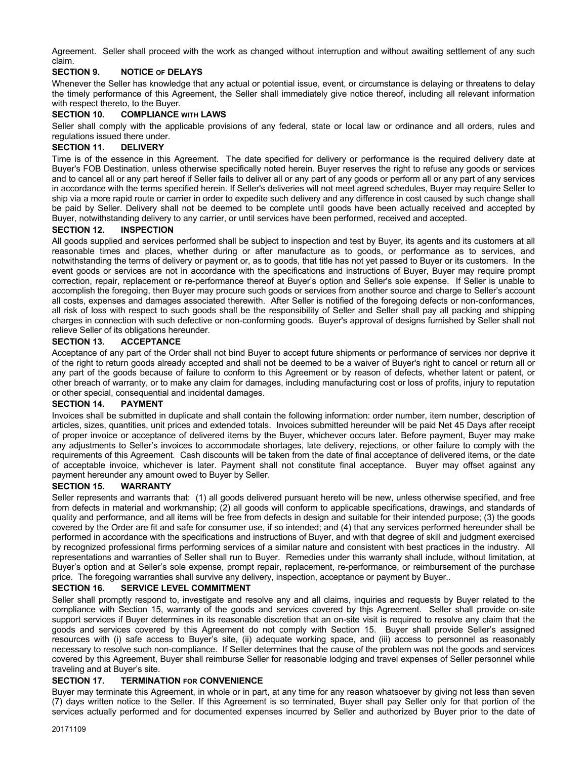Agreement. Seller shall proceed with the work as changed without interruption and without awaiting settlement of any such claim.

### **SECTION 9. NOTICE OF DELAYS**

Whenever the Seller has knowledge that any actual or potential issue, event, or circumstance is delaying or threatens to delay the timely performance of this Agreement, the Seller shall immediately give notice thereof, including all relevant information with respect thereto, to the Buyer.

# **SECTION 10. COMPLIANCE WITH LAWS**

Seller shall comply with the applicable provisions of any federal, state or local law or ordinance and all orders, rules and regulations issued there under.

#### **SECTION 11. DELIVERY**

Time is of the essence in this Agreement. The date specified for delivery or performance is the required delivery date at Buyer's FOB Destination, unless otherwise specifically noted herein. Buyer reserves the right to refuse any goods or services and to cancel all or any part hereof if Seller fails to deliver all or any part of any goods or perform all or any part of any services in accordance with the terms specified herein. If Seller's deliveries will not meet agreed schedules, Buyer may require Seller to ship via a more rapid route or carrier in order to expedite such delivery and any difference in cost caused by such change shall be paid by Seller. Delivery shall not be deemed to be complete until goods have been actually received and accepted by Buyer, notwithstanding delivery to any carrier, or until services have been performed, received and accepted.

#### **SECTION 12. INSPECTION**

All goods supplied and services performed shall be subject to inspection and test by Buyer, its agents and its customers at all reasonable times and places, whether during or after manufacture as to goods, or performance as to services, and notwithstanding the terms of delivery or payment or, as to goods, that title has not yet passed to Buyer or its customers. In the event goods or services are not in accordance with the specifications and instructions of Buyer, Buyer may require prompt correction, repair, replacement or re-performance thereof at Buyer's option and Seller's sole expense. If Seller is unable to accomplish the foregoing, then Buyer may procure such goods or services from another source and charge to Seller's account all costs, expenses and damages associated therewith. After Seller is notified of the foregoing defects or non-conformances, all risk of loss with respect to such goods shall be the responsibility of Seller and Seller shall pay all packing and shipping charges in connection with such defective or non-conforming goods. Buyer's approval of designs furnished by Seller shall not relieve Seller of its obligations hereunder.

#### **SECTION 13. ACCEPTANCE**

Acceptance of any part of the Order shall not bind Buyer to accept future shipments or performance of services nor deprive it of the right to return goods already accepted and shall not be deemed to be a waiver of Buyer's right to cancel or return all or any part of the goods because of failure to conform to this Agreement or by reason of defects, whether latent or patent, or other breach of warranty, or to make any claim for damages, including manufacturing cost or loss of profits, injury to reputation or other special, consequential and incidental damages.

#### **SECTION 14. PAYMENT**

Invoices shall be submitted in duplicate and shall contain the following information: order number, item number, description of articles, sizes, quantities, unit prices and extended totals. Invoices submitted hereunder will be paid Net 45 Days after receipt of proper invoice or acceptance of delivered items by the Buyer, whichever occurs later. Before payment, Buyer may make any adjustments to Seller's invoices to accommodate shortages, late delivery, rejections, or other failure to comply with the requirements of this Agreement. Cash discounts will be taken from the date of final acceptance of delivered items, or the date of acceptable invoice, whichever is later. Payment shall not constitute final acceptance. Buyer may offset against any payment hereunder any amount owed to Buyer by Seller.

#### **SECTION 15. WARRANTY**

Seller represents and warrants that: (1) all goods delivered pursuant hereto will be new, unless otherwise specified, and free from defects in material and workmanship; (2) all goods will conform to applicable specifications, drawings, and standards of quality and performance, and all items will be free from defects in design and suitable for their intended purpose; (3) the goods covered by the Order are fit and safe for consumer use, if so intended; and (4) that any services performed hereunder shall be performed in accordance with the specifications and instructions of Buyer, and with that degree of skill and judgment exercised by recognized professional firms performing services of a similar nature and consistent with best practices in the industry. All representations and warranties of Seller shall run to Buyer. Remedies under this warranty shall include, without limitation, at Buyer's option and at Seller's sole expense, prompt repair, replacement, re-performance, or reimbursement of the purchase price. The foregoing warranties shall survive any delivery, inspection, acceptance or payment by Buyer..

# **SECTION 16. SERVICE LEVEL COMMITMENT**

Seller shall promptly respond to, investigate and resolve any and all claims, inquiries and requests by Buyer related to the compliance with Section 15, warranty of the goods and services covered by thjs Agreement. Seller shall provide on-site support services if Buyer determines in its reasonable discretion that an on-site visit is required to resolve any claim that the goods and services covered by this Agreement do not comply with Section 15. Buyer shall provide Seller's assigned resources with (i) safe access to Buyer's site, (ii) adequate working space, and (iii) access to personnel as reasonably necessary to resolve such non-compliance. If Seller determines that the cause of the problem was not the goods and services covered by this Agreement, Buyer shall reimburse Seller for reasonable lodging and travel expenses of Seller personnel while traveling and at Buyer's site.

#### **SECTION 17. TERMINATION FOR CONVENIENCE**

Buyer may terminate this Agreement, in whole or in part, at any time for any reason whatsoever by giving not less than seven (7) days written notice to the Seller. If this Agreement is so terminated, Buyer shall pay Seller only for that portion of the services actually performed and for documented expenses incurred by Seller and authorized by Buyer prior to the date of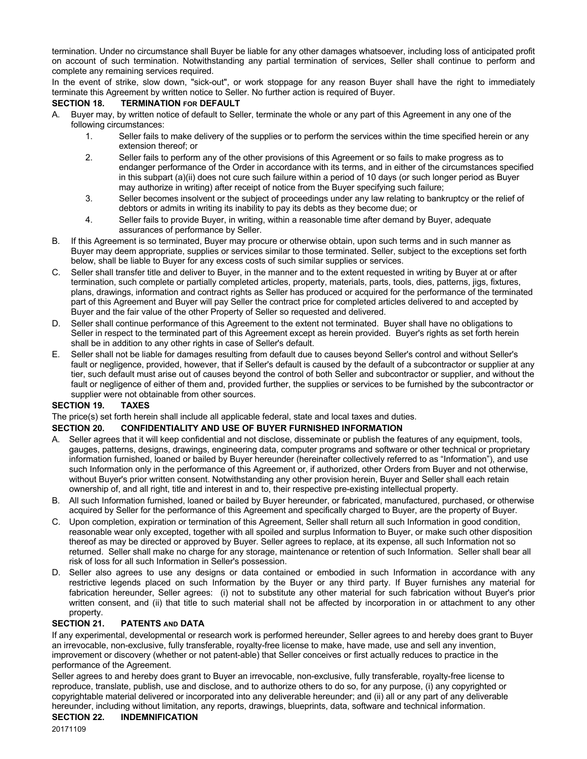termination. Under no circumstance shall Buyer be liable for any other damages whatsoever, including loss of anticipated profit on account of such termination. Notwithstanding any partial termination of services, Seller shall continue to perform and complete any remaining services required.

In the event of strike, slow down, "sick-out", or work stoppage for any reason Buyer shall have the right to immediately terminate this Agreement by written notice to Seller. No further action is required of Buyer.

### **SECTION 18. TERMINATION FOR DEFAULT**

- A. Buyer may, by written notice of default to Seller, terminate the whole or any part of this Agreement in any one of the following circumstances:
	- 1. Seller fails to make delivery of the supplies or to perform the services within the time specified herein or any extension thereof; or
	- 2. Seller fails to perform any of the other provisions of this Agreement or so fails to make progress as to endanger performance of the Order in accordance with its terms, and in either of the circumstances specified in this subpart (a)(ii) does not cure such failure within a period of 10 days (or such longer period as Buyer may authorize in writing) after receipt of notice from the Buyer specifying such failure;
	- 3. Seller becomes insolvent or the subject of proceedings under any law relating to bankruptcy or the relief of debtors or admits in writing its inability to pay its debts as they become due; or
	- 4. Seller fails to provide Buyer, in writing, within a reasonable time after demand by Buyer, adequate assurances of performance by Seller.
- B. If this Agreement is so terminated, Buyer may procure or otherwise obtain, upon such terms and in such manner as Buyer may deem appropriate, supplies or services similar to those terminated. Seller, subject to the exceptions set forth below, shall be liable to Buyer for any excess costs of such similar supplies or services.
- C. Seller shall transfer title and deliver to Buyer, in the manner and to the extent requested in writing by Buyer at or after termination, such complete or partially completed articles, property, materials, parts, tools, dies, patterns, jigs, fixtures, plans, drawings, information and contract rights as Seller has produced or acquired for the performance of the terminated part of this Agreement and Buyer will pay Seller the contract price for completed articles delivered to and accepted by Buyer and the fair value of the other Property of Seller so requested and delivered.
- D. Seller shall continue performance of this Agreement to the extent not terminated. Buyer shall have no obligations to Seller in respect to the terminated part of this Agreement except as herein provided. Buyer's rights as set forth herein shall be in addition to any other rights in case of Seller's default.
- E. Seller shall not be liable for damages resulting from default due to causes beyond Seller's control and without Seller's fault or negligence, provided, however, that if Seller's default is caused by the default of a subcontractor or supplier at any tier, such default must arise out of causes beyond the control of both Seller and subcontractor or supplier, and without the fault or negligence of either of them and, provided further, the supplies or services to be furnished by the subcontractor or supplier were not obtainable from other sources.

# **SECTION 19. TAXES**

The price(s) set forth herein shall include all applicable federal, state and local taxes and duties.

# **SECTION 20. CONFIDENTIALITY AND USE OF BUYER FURNISHED INFORMATION**

- A. Seller agrees that it will keep confidential and not disclose, disseminate or publish the features of any equipment, tools, gauges, patterns, designs, drawings, engineering data, computer programs and software or other technical or proprietary information furnished, loaned or bailed by Buyer hereunder (hereinafter collectively referred to as "Information"), and use such Information only in the performance of this Agreement or, if authorized, other Orders from Buyer and not otherwise, without Buyer's prior written consent. Notwithstanding any other provision herein, Buyer and Seller shall each retain ownership of, and all right, title and interest in and to, their respective pre-existing intellectual property.
- B. All such Information furnished, loaned or bailed by Buyer hereunder, or fabricated, manufactured, purchased, or otherwise acquired by Seller for the performance of this Agreement and specifically charged to Buyer, are the property of Buyer.
- C. Upon completion, expiration or termination of this Agreement, Seller shall return all such Information in good condition, reasonable wear only excepted, together with all spoiled and surplus Information to Buyer, or make such other disposition thereof as may be directed or approved by Buyer. Seller agrees to replace, at its expense, all such Information not so returned. Seller shall make no charge for any storage, maintenance or retention of such Information. Seller shall bear all risk of loss for all such Information in Seller's possession.
- D. Seller also agrees to use any designs or data contained or embodied in such Information in accordance with any restrictive legends placed on such Information by the Buyer or any third party. If Buyer furnishes any material for fabrication hereunder, Seller agrees: (i) not to substitute any other material for such fabrication without Buyer's prior written consent, and (ii) that title to such material shall not be affected by incorporation in or attachment to any other property.

#### **SECTION 21. PATENTS AND DATA**

If any experimental, developmental or research work is performed hereunder, Seller agrees to and hereby does grant to Buyer an irrevocable, non-exclusive, fully transferable, royalty-free license to make, have made, use and sell any invention, improvement or discovery (whether or not patent-able) that Seller conceives or first actually reduces to practice in the performance of the Agreement.

Seller agrees to and hereby does grant to Buyer an irrevocable, non-exclusive, fully transferable, royalty-free license to reproduce, translate, publish, use and disclose, and to authorize others to do so, for any purpose, (i) any copyrighted or copyrightable material delivered or incorporated into any deliverable hereunder; and (ii) all or any part of any deliverable hereunder, including without limitation, any reports, drawings, blueprints, data, software and technical information.

### **SECTION 22. INDEMNIFICATION**

20171109